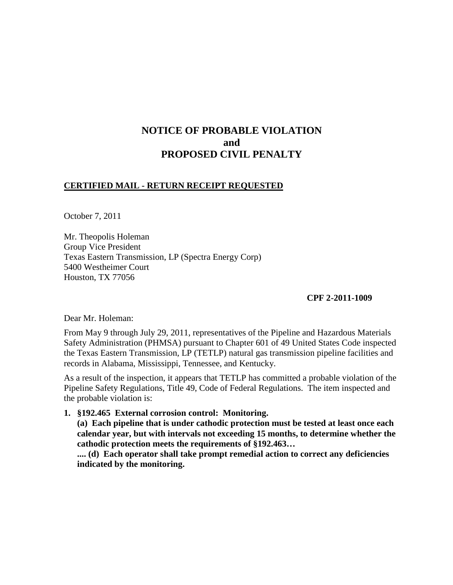## **NOTICE OF PROBABLE VIOLATION and PROPOSED CIVIL PENALTY**

## **CERTIFIED MAIL - RETURN RECEIPT REQUESTED**

October 7, 2011

Mr. Theopolis Holeman Group Vice President Texas Eastern Transmission, LP (Spectra Energy Corp) 5400 Westheimer Court Houston, TX 77056

**CPF 2-2011-1009**

Dear Mr. Holeman:

From May 9 through July 29, 2011, representatives of the Pipeline and Hazardous Materials Safety Administration (PHMSA) pursuant to Chapter 601 of 49 United States Code inspected the Texas Eastern Transmission, LP (TETLP) natural gas transmission pipeline facilities and records in Alabama, Mississippi, Tennessee, and Kentucky.

As a result of the inspection, it appears that TETLP has committed a probable violation of the Pipeline Safety Regulations, Title 49, Code of Federal Regulations. The item inspected and the probable violation is:

**1. §192.465 External corrosion control: Monitoring.**

**(a) Each pipeline that is under cathodic protection must be tested at least once each calendar year, but with intervals not exceeding 15 months, to determine whether the cathodic protection meets the requirements of §192.463…**

**.... (d) Each operator shall take prompt remedial action to correct any deficiencies indicated by the monitoring.**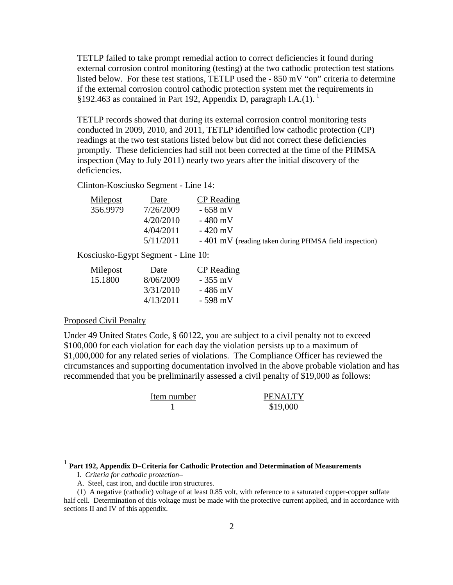TETLP failed to take prompt remedial action to correct deficiencies it found during external corrosion control monitoring (testing) at the two cathodic protection test stations listed below. For these test stations, TETLP used the - 850 mV "on" criteria to determine if the external corrosion control cathodic protection system met the requirements in §[1](#page-1-0)92.463 as contained in Part 192, Appendix D, paragraph I.A. $(1)$ .

TETLP records showed that during its external corrosion control monitoring tests conducted in 2009, 2010, and 2011, TETLP identified low cathodic protection (CP) readings at the two test stations listed below but did not correct these deficiencies promptly. These deficiencies had still not been corrected at the time of the PHMSA inspection (May to July 2011) nearly two years after the initial discovery of the deficiencies.

Clinton-Kosciusko Segment - Line 14:

| Milepost | Date      | CP Reading                                             |
|----------|-----------|--------------------------------------------------------|
| 356.9979 | 7/26/2009 | $-658$ mV                                              |
|          | 4/20/2010 | - 480 mV                                               |
|          | 4/04/2011 | $-420$ mV                                              |
|          | 5/11/2011 | - 401 mV (reading taken during PHMSA field inspection) |

Kosciusko-Egypt Segment - Line 10:

| Milepost | Date      | <b>CP</b> Reading |
|----------|-----------|-------------------|
| 15.1800  | 8/06/2009 | $-355$ mV         |
|          | 3/31/2010 | - 486 mV          |
|          | 4/13/2011 | - 598 mV          |

## Proposed Civil Penalty

Under 49 United States Code, § 60122, you are subject to a civil penalty not to exceed \$100,000 for each violation for each day the violation persists up to a maximum of \$1,000,000 for any related series of violations. The Compliance Officer has reviewed the circumstances and supporting documentation involved in the above probable violation and has recommended that you be preliminarily assessed a civil penalty of \$19,000 as follows:

| Item number | <b>PENALTY</b> |
|-------------|----------------|
|             | \$19,000       |

<span id="page-1-0"></span>1 **Part 192, Appendix D–Criteria for Cathodic Protection and Determination of Measurements**

I. *Criteria for cathodic protection*–

A. Steel, cast iron, and ductile iron structures.

<sup>(1)</sup> A negative (cathodic) voltage of at least 0.85 volt, with reference to a saturated copper-copper sulfate half cell. Determination of this voltage must be made with the protective current applied, and in accordance with sections II and IV of this appendix.